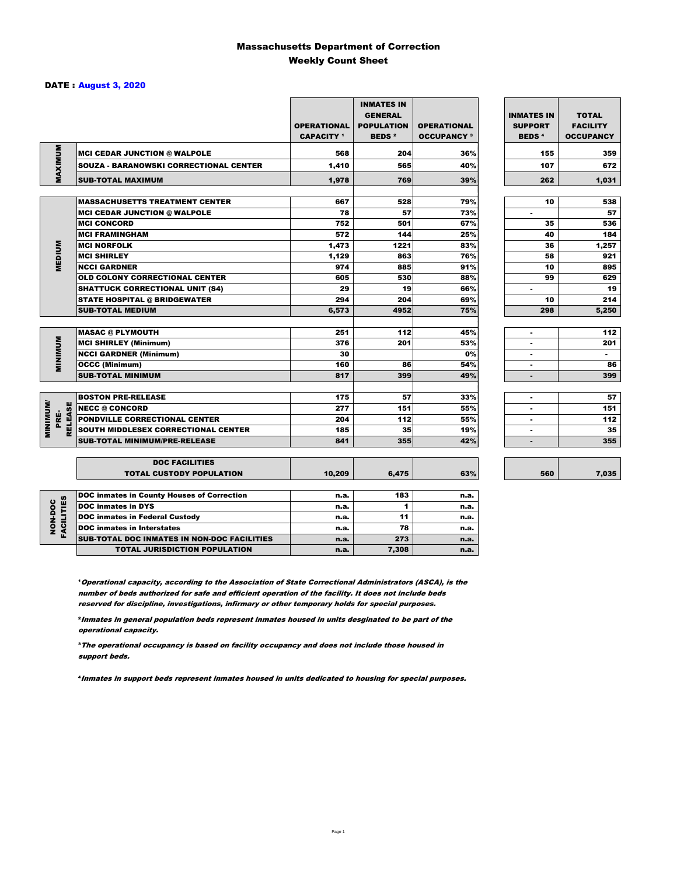### Massachusetts Department of Correction Weekly Count Sheet

### DATE : August 3, 2020

|                 |                                                           | <b>OPERATIONAL</b><br><b>CAPACITY</b> <sup>1</sup> | <b>INMATES IN</b><br><b>GENERAL</b><br><b>POPULATION</b><br><b>BEDS<sup>2</sup></b> | <b>OPERATIONAL</b><br><b>OCCUPANCY 3</b> | <b>INMATES IN</b><br><b>SUPPORT</b><br><b>BEDS<sup>4</sup></b> | <b>TOTAL</b><br><b>FACILITY</b><br><b>OCCUPANCY</b> |
|-----------------|-----------------------------------------------------------|----------------------------------------------------|-------------------------------------------------------------------------------------|------------------------------------------|----------------------------------------------------------------|-----------------------------------------------------|
| MAXIMUM         | <b>MCI CEDAR JUNCTION @ WALPOLE</b>                       | 568                                                | 204                                                                                 | 36%                                      | 155                                                            | 359                                                 |
|                 | <b>SOUZA - BARANOWSKI CORRECTIONAL CENTER</b>             | 1,410                                              | 565                                                                                 | 40%                                      | 107                                                            | 672                                                 |
|                 | <b>SUB-TOTAL MAXIMUM</b>                                  | 1,978                                              | 769                                                                                 | 39%                                      | 262                                                            | 1,031                                               |
|                 | <b>MASSACHUSETTS TREATMENT CENTER</b>                     | 667                                                | 528                                                                                 | 79%                                      | 10                                                             | 538                                                 |
|                 |                                                           | 78                                                 | 57                                                                                  | 73%                                      | ٠                                                              | 57                                                  |
|                 | <b>MCI CEDAR JUNCTION @ WALPOLE</b><br><b>MCI CONCORD</b> | 752                                                | 501                                                                                 | 67%                                      | 35                                                             | 536                                                 |
|                 | <b>MCI FRAMINGHAM</b>                                     | 572                                                | 144                                                                                 | 25%                                      | 40                                                             | 184                                                 |
|                 | <b>MCI NORFOLK</b>                                        | 1,473                                              | 1221                                                                                | 83%                                      | 36                                                             | 1,257                                               |
|                 | <b>MCI SHIRLEY</b>                                        | 1,129                                              | 863                                                                                 | 76%                                      | 58                                                             | 921                                                 |
| <b>MEDIUM</b>   | <b>NCCI GARDNER</b>                                       | 974                                                | 885                                                                                 | 91%                                      | 10                                                             | 895                                                 |
|                 | <b>OLD COLONY CORRECTIONAL CENTER</b>                     | 605                                                | 530                                                                                 | 88%                                      | 99                                                             | 629                                                 |
|                 | <b>SHATTUCK CORRECTIONAL UNIT (S4)</b>                    | 29                                                 | 19                                                                                  | 66%                                      | ٠                                                              | 19                                                  |
|                 | <b>STATE HOSPITAL @ BRIDGEWATER</b>                       | 294                                                | 204                                                                                 | 69%                                      | 10                                                             | 214                                                 |
|                 | <b>SUB-TOTAL MEDIUM</b>                                   | 6,573                                              | 4952                                                                                | 75%                                      | 298                                                            | 5,250                                               |
|                 |                                                           |                                                    |                                                                                     |                                          |                                                                |                                                     |
|                 | <b>MASAC @ PLYMOUTH</b>                                   | 251                                                | 112                                                                                 | 45%                                      |                                                                | 112                                                 |
| <b>MINIMUM</b>  | <b>MCI SHIRLEY (Minimum)</b>                              | 376                                                | 201                                                                                 | 53%                                      |                                                                | 201                                                 |
|                 | <b>NCCI GARDNER (Minimum)</b>                             | 30                                                 |                                                                                     | 0%                                       | ٠                                                              | $\sim$                                              |
|                 | <b>OCCC (Minimum)</b>                                     | 160                                                | 86                                                                                  | 54%                                      |                                                                | 86                                                  |
|                 | <b>SUB-TOTAL MINIMUM</b>                                  | 817                                                | 399                                                                                 | 49%                                      | $\blacksquare$                                                 | 399                                                 |
|                 |                                                           |                                                    |                                                                                     |                                          |                                                                |                                                     |
|                 | <b>BOSTON PRE-RELEASE</b>                                 | 175                                                | 57                                                                                  | 33%                                      | $\overline{\phantom{a}}$                                       | 57                                                  |
| <b>RELEASE</b>  | <b>NECC @ CONCORD</b>                                     | 277                                                | 151                                                                                 | 55%                                      |                                                                | 151                                                 |
| PRE-            | <b>PONDVILLE CORRECTIONAL CENTER</b>                      | 204                                                | 112                                                                                 | 55%                                      | ٠                                                              | 112                                                 |
| <b>MINIMINI</b> | SOUTH MIDDLESEX CORRECTIONAL CENTER                       | 185                                                | 35                                                                                  | 19%                                      | ٠                                                              | 35                                                  |
|                 | <b>SUB-TOTAL MINIMUM/PRE-RELEASE</b>                      | 841                                                | 355                                                                                 | 42%                                      | $\blacksquare$                                                 | 355                                                 |
|                 |                                                           |                                                    |                                                                                     |                                          |                                                                |                                                     |
|                 | <b>DOC FACILITIES</b><br><b>TOTAL CUSTODY POPULATION</b>  | 10,209                                             | 6,475                                                                               | 63%                                      | 560                                                            | 7,035                                               |
|                 | <b>DOC inmates in County Houses of Correction</b>         | n.a.                                               | 183                                                                                 | n.a.                                     |                                                                |                                                     |
| FACILITIES      | <b>DOC</b> inmates in DYS                                 | n.a.                                               | 1                                                                                   | n.a.                                     |                                                                |                                                     |
| NON-DOC         | <b>DOC inmates in Federal Custody</b>                     | n.a.                                               | 11                                                                                  | n.a.                                     |                                                                |                                                     |
|                 | <b>DOC</b> inmates in Interstates                         | n.a.                                               | 78                                                                                  | n.a.                                     |                                                                |                                                     |
|                 | CUR TOTAL BOO INIMETED IN NON-BOO FACULTIED               |                                                    | 272                                                                                 |                                          |                                                                |                                                     |

**Operational capacity, according to the Association of State Correctional Administrators (ASCA), is the** number of beds authorized for safe and efficient operation of the facility. It does not include beds reserved for discipline, investigations, infirmary or other temporary holds for special purposes.

SUB-TOTAL DOC INMATES IN NON-DOC FACILITIES n.a. 273 n.a. 273

TOTAL JURISDICTION POPULATION **n.a.** 7,308 n.a.

²Inmates in general population beds represent inmates housed in units desginated to be part of the operational capacity.

³The operational occupancy is based on facility occupancy and does not include those housed in support beds.

⁴Inmates in support beds represent inmates housed in units dedicated to housing for special purposes.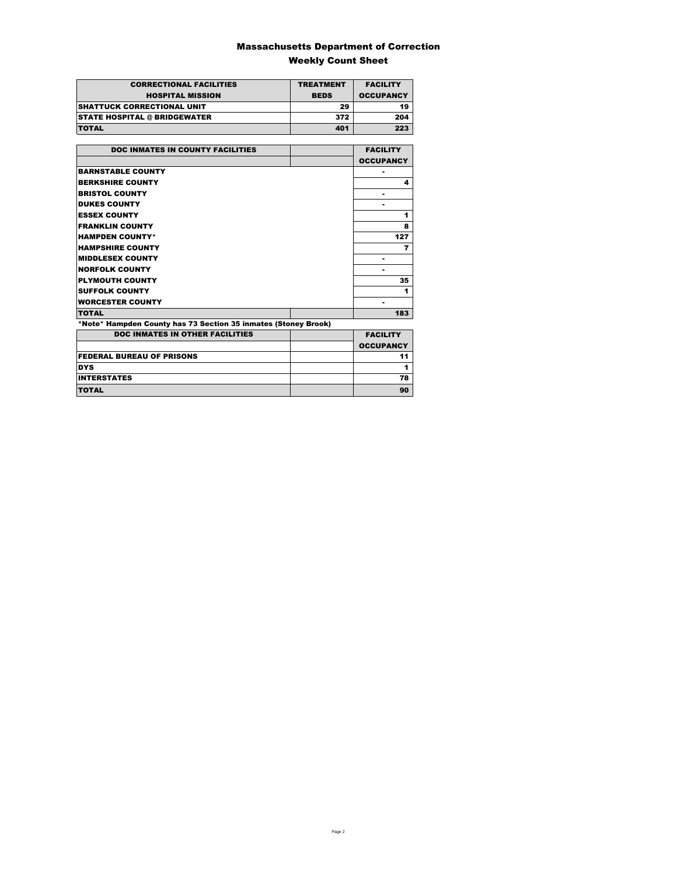### Massachusetts Department of Correction Weekly Count Sheet

| <b>CORRECTIONAL FACILITIES</b>      | <b>TREATMENT</b> | <b>FACILITY</b>  |
|-------------------------------------|------------------|------------------|
| <b>HOSPITAL MISSION</b>             | <b>BEDS</b>      | <b>OCCUPANCY</b> |
| <b>ISHATTUCK CORRECTIONAL UNIT</b>  | 29               | 19               |
| <b>STATE HOSPITAL @ BRIDGEWATER</b> | 372              | 204              |
| <b>TOTAL</b>                        | 401              | 223              |

| <b>DOC INMATES IN COUNTY FACILITIES</b>                        | <b>FACILITY</b>  |
|----------------------------------------------------------------|------------------|
|                                                                | <b>OCCUPANCY</b> |
| <b>BARNSTABLE COUNTY</b>                                       |                  |
| <b>BERKSHIRE COUNTY</b>                                        | 4                |
| <b>BRISTOL COUNTY</b>                                          |                  |
| <b>DUKES COUNTY</b>                                            |                  |
| <b>ESSEX COUNTY</b>                                            | 1                |
| <b>FRANKLIN COUNTY</b>                                         | 8                |
| <b>HAMPDEN COUNTY*</b>                                         | 127              |
| <b>HAMPSHIRE COUNTY</b>                                        | 7                |
| <b>MIDDLESEX COUNTY</b>                                        |                  |
| <b>NORFOLK COUNTY</b>                                          |                  |
| <b>PLYMOUTH COUNTY</b>                                         | 35               |
| <b>SUFFOLK COUNTY</b>                                          | 1                |
| <b>WORCESTER COUNTY</b>                                        |                  |
| <b>TOTAL</b>                                                   | 183              |
| *Note* Hampden County has 73 Section 35 inmates (Stoney Brook) |                  |
| <b>DOC INMATES IN OTHER FACILITIES</b>                         | <b>FACILITY</b>  |
|                                                                | <b>OCCUPANCY</b> |
| <b>FEDERAL BUREAU OF PRISONS</b>                               | 11               |

DYS 1 INTERSTATES 78 TOTAL 90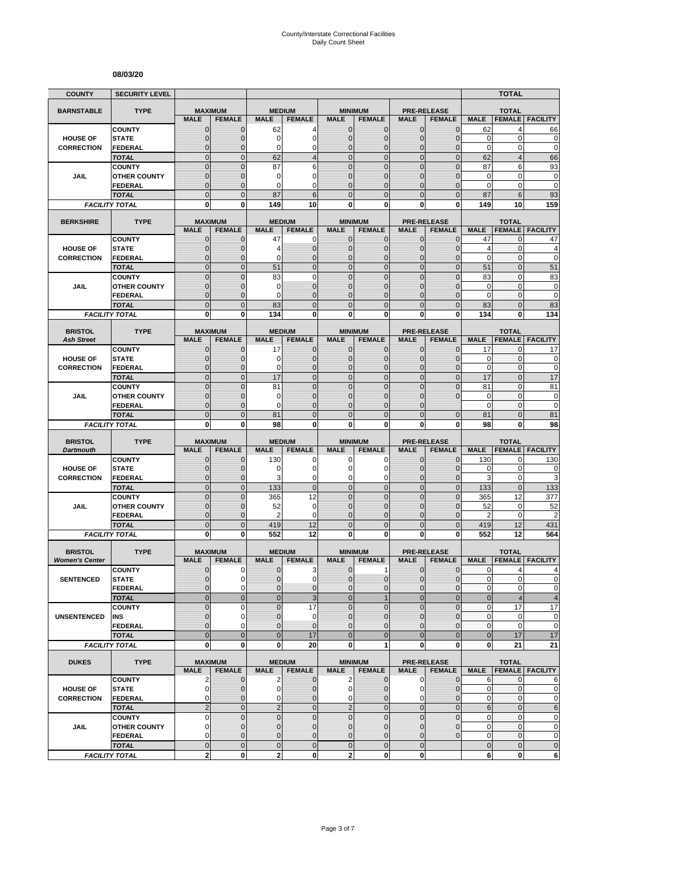#### **08/03/20**

| <b>COUNTY</b>                        | <b>SECURITY LEVEL</b>          |                               |                              |                  |                               |                                |                               |                              |                                |                               | <b>TOTAL</b>             |                                                |
|--------------------------------------|--------------------------------|-------------------------------|------------------------------|------------------|-------------------------------|--------------------------------|-------------------------------|------------------------------|--------------------------------|-------------------------------|--------------------------|------------------------------------------------|
| <b>BARNSTABLE</b>                    | <b>TYPE</b>                    | <b>MAXIMUM</b>                |                              | <b>MEDIUM</b>    |                               |                                | <b>MINIMUM</b>                |                              | <b>PRE-RELEASE</b>             |                               | <b>TOTAL</b>             |                                                |
|                                      |                                | <b>MALE</b>                   | <b>FEMALE</b>                | <b>MALE</b>      | <b>FEMALE</b>                 | <b>MALE</b>                    | <b>FEMALE</b>                 | <b>MALE</b>                  | <b>FEMALE</b>                  | <b>MALE</b>                   | <b>FEMALE</b>            | <b>FACILITY</b>                                |
|                                      | <b>COUNTY</b>                  | $\mathbf 0$                   | $\mathbf{0}$                 | 62               | 4                             | $\mathbf 0$                    | 0                             | $\mathbf{0}$                 | $\mathbf{0}$                   | 62                            | 4                        | 66                                             |
| <b>HOUSE OF</b>                      | <b>STATE</b>                   | $\mathbf{0}$                  | $\mathbf 0$                  | 0                | $\overline{0}$                | $\mathbf 0$                    | $\overline{0}$                | $\mathbf{0}$                 | $\overline{0}$                 | $\mathbf 0$                   | 0                        | 0                                              |
| <b>CORRECTION</b>                    | FEDERAL<br><b>TOTAL</b>        | $\mathbf 0$<br>$\mathbf 0$    | $\mathbf{0}$<br>$\mathbf{0}$ | 0<br>62          | 0<br>$\overline{4}$           | $\mathbf{0}$<br>$\overline{0}$ | $\mathbf 0$<br>$\mathbf 0$    | $\mathbf 0$<br>$\mathbf{0}$  | $\overline{0}$<br>$\mathbf 0$  | $\mathbf 0$<br>62             | 0<br>$\overline{4}$      | $\mathbf 0$<br>66                              |
|                                      | <b>COUNTY</b>                  | $\mathbf 0$                   | $\mathbf{0}$                 | 87               | 6                             | $\overline{0}$                 | $\mathbf 0$                   | $\mathbf 0$                  | $\overline{0}$                 | 87                            | 6                        | 93                                             |
| JAIL                                 | <b>OTHER COUNTY</b>            | $\mathbf 0$                   | $\mathbf 0$                  | 0                | 0                             | $\mathbf{0}$                   | $\overline{0}$                | $\mathbf 0$                  | $\overline{0}$                 | $\mathbf 0$                   | $\mathbf 0$              | $\bf{0}$                                       |
|                                      | <b>FEDERAL</b>                 | $\mathbf 0$                   | $\mathbf{0}$                 | 0                | $\Omega$                      | $\Omega$                       | $\mathbf 0$                   | $\Omega$                     | $\overline{0}$                 | $\Omega$                      | 0                        | $\mathbf 0$                                    |
|                                      | <b>TOTAL</b>                   | $\overline{0}$                | $\Omega$                     | 87               | 6                             | $\Omega$                       | $\overline{0}$                | $\Omega$                     | $\overline{0}$                 | 87                            | 6                        | 93                                             |
|                                      | <b>FACILITY TOTAL</b>          | 0                             | 0                            | 149              | 10                            | $\mathbf{0}$                   | 0                             | 0                            | 0                              | 149                           | 10                       | 159                                            |
| <b>BERKSHIRE</b>                     | <b>TYPE</b>                    |                               | <b>MAXIMUM</b>               | <b>MEDIUM</b>    |                               |                                | <b>MINIMUM</b>                |                              | <b>PRE-RELEASE</b>             |                               | <b>TOTAL</b>             |                                                |
|                                      |                                | <b>MALE</b>                   | <b>FEMALE</b>                | <b>MALE</b>      | <b>FEMALE</b>                 | <b>MALE</b>                    | <b>FEMALE</b>                 | <b>MALE</b>                  | <b>FEMALE</b>                  | <b>MALE</b>                   | <b>FEMALE</b>            | <b>FACILITY</b>                                |
|                                      | <b>COUNTY</b>                  | $\mathbf{0}$                  | $\mathbf 0$                  | 47               | 0                             | $\mathbf{0}$                   | $\mathbf{0}$                  | $\mathbf{0}$                 | $\mathbf 0$                    | 47                            | 0                        | 47                                             |
| <b>HOUSE OF</b><br><b>CORRECTION</b> | <b>STATE</b><br><b>FEDERAL</b> | 0<br>$\mathbf 0$              | $\mathbf{0}$<br>$\mathbf 0$  | 4<br>0           | $\mathbf 0$<br>$\overline{0}$ | $\mathbf{0}$<br>$\mathbf{0}$   | $\mathbf 0$<br>$\overline{0}$ | $\mathbf{0}$<br>$\mathbf{0}$ | $\mathbf{0}$<br>$\mathbf 0$    | $\overline{4}$<br>$\mathbf 0$ | 0<br>0                   | 4<br>$\mathbf 0$                               |
|                                      | <b>TOTAL</b>                   | $\overline{0}$                | $\mathbf{0}$                 | 51               | $\overline{0}$                | $\overline{0}$                 | $\overline{0}$                | $\mathbf{0}$                 | $\overline{0}$                 | 51                            | $\overline{0}$           | 51                                             |
|                                      | <b>COUNTY</b>                  | $\overline{0}$                | $\overline{0}$               | 83               | $\overline{0}$                | $\overline{0}$                 | $\overline{0}$                | $\overline{0}$               | $\overline{0}$                 | 83                            | $\mathbf{0}$             | 83                                             |
| JAIL                                 | <b>OTHER COUNTY</b>            | 0                             | $\mathbf{0}$                 | 0                | $\overline{0}$                | $\Omega$                       | $\overline{0}$                | $\Omega$                     | $\mathbf{0}$                   | 0                             | $\mathbf{0}$             | $\pmb{0}$                                      |
|                                      | <b>FEDERAL</b>                 | $\mathbf 0$                   | $\mathbf{0}$                 | 0                | $\overline{0}$                | $\mathbf{0}$                   | $\overline{0}$                | $\mathbf 0$                  | $\overline{0}$                 | $\mathbf 0$                   | $\mathbf{0}$             | $\mathbf 0$                                    |
|                                      | <b>TOTAL</b>                   | $\mathbf 0$                   | $\mathbf{0}$                 | 83               | $\overline{0}$                | $\mathbf{0}$                   | $\mathbf 0$                   | $\mathbf{0}$                 | $\mathbf 0$                    | 83                            | $\overline{0}$           | 83                                             |
|                                      | <b>FACILITY TOTAL</b>          | 0                             | $\mathbf{0}$                 | 134              | 0                             | 0                              | $\bf{0}$                      | 0                            | 0                              | 134                           | 0                        | 134                                            |
| <b>BRISTOL</b>                       | <b>TYPE</b>                    | <b>MAXIMUM</b>                |                              | <b>MEDIUM</b>    |                               |                                | <b>MINIMUM</b>                |                              | <b>PRE-RELEASE</b>             |                               | <b>TOTAL</b>             |                                                |
| <b>Ash Street</b>                    |                                | <b>MALE</b>                   | <b>FEMALE</b>                | <b>MALE</b>      | <b>FEMALE</b>                 | <b>MALE</b>                    | <b>FEMALE</b>                 | <b>MALE</b>                  | <b>FEMALE</b>                  | <b>MALE</b>                   | <b>FEMALE</b>            | <b>FACILITY</b>                                |
|                                      | <b>COUNTY</b>                  | 0                             | $\mathbf{0}$                 | 17               | $\mathbf 0$                   | $\mathbf 0$                    | 0                             | $\mathbf{0}$                 | $\overline{0}$                 | 17                            | 0                        | 17                                             |
| <b>HOUSE OF</b><br><b>CORRECTION</b> | <b>STATE</b><br><b>FEDERAL</b> | $\mathbf{0}$<br>$\mathbf{0}$  | $\mathbf{0}$<br>$\mathbf{0}$ | 0<br>0           | $\mathbf 0$<br>$\overline{0}$ | $\mathbf{0}$<br>$\mathbf{0}$   | $\mathbf{0}$<br>$\mathbf{0}$  | $\mathbf{0}$<br>$\mathbf{0}$ | $\mathbf{0}$<br>$\overline{0}$ | 0<br>$\mathbf 0$              | 0<br>0                   | 0<br>$\mathbf 0$                               |
|                                      | <b>TOTAL</b>                   | $\overline{0}$                | $\mathbf{0}$                 | 17               | $\overline{0}$                | $\mathbf 0$                    | $\overline{0}$                | $\mathbf{0}$                 | $\overline{0}$                 | 17                            | $\overline{0}$           | 17                                             |
|                                      | <b>COUNTY</b>                  | $\overline{0}$                | $\overline{0}$               | 81               | $\overline{0}$                | $\mathbf 0$                    | $\overline{0}$                | $\overline{0}$               | $\overline{0}$                 | 81                            | $\overline{0}$           | 81                                             |
| JAIL                                 | <b>OTHER COUNTY</b>            | $\mathbf 0$                   | $\mathbf 0$                  | 0                | $\overline{0}$                | $\mathbf{0}$                   | $\overline{0}$                | $\mathbf 0$                  | $\overline{0}$                 | $\mathbf 0$                   | $\mathbf{0}$             | $\mathbf 0$                                    |
|                                      | FEDERAL                        | $\overline{0}$                | $\mathbf{0}$                 | 0                | $\overline{0}$                | $\Omega$                       | $\mathbf 0$                   | $\Omega$                     |                                | $\mathbf 0$                   | 0                        | $\mathbf 0$                                    |
|                                      | <b>TOTAL</b>                   | $\overline{0}$<br>0           | $\mathbf{0}$<br>0            | 81<br>98         | $\overline{0}$<br>0           | $\overline{0}$<br>0            | $\overline{0}$<br>0           | $\overline{0}$<br>0          | $\overline{0}$<br>0            | 81<br>98                      | $\overline{0}$<br>0      | 81<br>98                                       |
|                                      | <b>FACILITY TOTAL</b>          |                               |                              |                  |                               |                                |                               |                              |                                |                               |                          |                                                |
|                                      |                                |                               |                              |                  |                               |                                |                               |                              |                                |                               |                          |                                                |
| <b>BRISTOL</b>                       | <b>TYPE</b>                    |                               | <b>MAXIMUM</b>               | <b>MEDIUM</b>    |                               |                                | <b>MINIMUM</b>                |                              | <b>PRE-RELEASE</b>             |                               | <b>TOTAL</b>             |                                                |
| <b>Dartmouth</b>                     |                                | <b>MALE</b>                   | <b>FEMALE</b>                | <b>MALE</b>      | <b>FEMALE</b>                 | <b>MALE</b>                    | <b>FEMALE</b>                 | <b>MALE</b>                  | <b>FEMALE</b>                  | <b>MALE</b>                   | <b>FEMALE</b>            | <b>FACILITY</b>                                |
|                                      | <b>COUNTY</b>                  | $\mathbf 0$                   | $\mathbf 0$                  | 130              | 0                             | 0                              | 0                             | $\mathbf 0$                  | 0                              | 130                           | 0                        | 130                                            |
| <b>HOUSE OF</b>                      | <b>STATE</b>                   | $\mathbf 0$                   | $\mathbf{0}$<br>$\mathbf{0}$ | 0<br>3           | $\overline{0}$                | $\Omega$<br>$\mathbf 0$        | 0<br>0                        | $\Omega$<br>$\mathbf 0$      | $\mathbf{0}$<br>$\mathbf{0}$   | 0                             | $\mathbf 0$              | 0                                              |
| <b>CORRECTION</b>                    | <b>FEDERAL</b><br><b>TOTAL</b> | $\mathbf 0$<br>$\overline{0}$ | $\mathbf{0}$                 | 133              | 0<br>$\mathbf 0$              | $\overline{0}$                 | $\mathbf 0$                   | $\mathbf{0}$                 | $\overline{0}$                 | 3<br>133                      | 0<br>$\mathbf 0$         | 3<br>133                                       |
|                                      | <b>COUNTY</b>                  | $\mathbf 0$                   | $\mathbf{0}$                 | 365              | 12                            | $\mathbf{0}$                   | $\mathbf 0$                   | $\mathbf{0}$                 | $\mathbf 0$                    | 365                           | 12                       | 377                                            |
| JAIL                                 | <b>OTHER COUNTY</b>            | $\overline{0}$                | $\mathbf{0}$                 | 52               | $\mathbf 0$                   | $\mathbf{0}$                   | $\overline{0}$                | $\mathbf 0$                  | $\overline{0}$                 | 52                            | 0                        | 52                                             |
|                                      | FEDERAL                        | $\mathbf 0$                   | $\mathbf{0}$                 | 2                | 0                             | $\mathbf{0}$                   | 0                             | $\mathbf{0}$                 | $\mathbf 0$                    | 2                             | $\mathbf 0$              | $\overline{c}$                                 |
|                                      | <b>TOTAL</b>                   | $\mathbf 0$                   | $\overline{0}$               | 419              | 12                            | $\mathbf 0$                    | $\mathbf 0$                   | $\overline{0}$               | $\mathbf 0$                    | 419                           | 12                       | 431                                            |
|                                      | <b>FACILITY TOTAL</b>          | $\mathbf{0}$                  | $\mathbf{0}$                 | 552              | 12                            | $\mathbf{0}$                   | $\bf{0}$                      | 0                            | 0                              | 552                           | 12                       | 564                                            |
| <b>BRISTOL</b>                       | <b>TYPE</b>                    |                               | <b>MAXIMUM</b>               | <b>MEDIUM</b>    |                               |                                | <b>MINIMUM</b>                |                              | <b>PRE-RELEASE</b>             |                               | <b>TOTAL</b>             |                                                |
| <b>Women's Center</b>                |                                | <b>MALE</b>                   | <b>FEMALE</b>                | <b>MALE</b>      | <b>FEMALE</b>                 | <b>MALE</b>                    | <b>FEMALE</b>                 | <b>MALE</b>                  | <b>FEMALE</b>                  | <b>MALE</b>                   | <b>FEMALE</b>            | <b>FACILITY</b>                                |
|                                      | <b>COUNTY</b>                  | 0                             | 0                            | 0                | 3                             | $\mathbf 0$                    | 1                             | 0                            | $\mathbf 0$                    | 0                             | 4                        | 4                                              |
| <b>SENTENCED</b>                     | <b>STATE</b>                   | $\overline{0}$                | $\Omega$                     | $\overline{0}$   | 0                             | $\overline{0}$                 | $\mathbf 0$                   | $\mathbf{0}$                 | $\mathbf{0}$                   | $\mathbf{0}$                  | $\overline{0}$           |                                                |
|                                      | <b>FEDERAL</b><br><b>TOTAL</b> | 0<br>$\mathbf 0$              | $\mathbf 0$<br>$\mathbf{0}$  | 0<br>$\mathbf 0$ | $\mathbf 0$<br>3              | $\mathbf{0}$<br>$\mathbf{0}$   | $\mathbf 0$<br>$\mathbf{1}$   | $\mathbf 0$<br>$\mathbf{0}$  | $\mathbf 0$<br>$\mathbf 0$     | $\pmb{0}$<br>$\bf 0$          | 0<br>4                   | 4                                              |
|                                      | <b>COUNTY</b>                  | $\mathbf 0$                   | 0                            | $\overline{0}$   | 17                            | $\Omega$                       | $\mathbf 0$                   | $\mathbf 0$                  | $\overline{0}$                 | $\pmb{0}$                     | 17                       | 17                                             |
| <b>UNSENTENCED</b>                   | INS                            | 0                             | $\mathbf 0$                  | $\pmb{0}$        | 0                             | $\mathbf 0$                    | 0                             | $\mathbf{0}$                 | $\mathbf 0$                    | $\pmb{0}$                     | 0                        | $\pmb{0}$                                      |
|                                      | <b>FEDERAL</b>                 | $\overline{0}$                | $\Omega$                     | 0                | $\mathbf 0$                   | $\mathbf{0}$                   | $\overline{0}$                | $\mathbf{0}$                 | $\overline{0}$                 | $\pmb{0}$                     | 0                        |                                                |
|                                      | <b>TOTAL</b>                   | $\overline{0}$                | $\mathbf{0}$                 | $\mathbf 0$      | 17                            | $\overline{0}$                 | $\overline{0}$                | $\overline{0}$               | $\mathbf 0$                    | $\bf 0$                       | 17                       | 17                                             |
|                                      | <b>FACILITY TOTAL</b>          | 0                             | $\mathbf{0}$                 | 0                | 20                            | 0                              | 1                             | $\mathbf 0$                  | 0                              | 0                             | 21                       | $\Omega$<br>$\pmb{0}$<br>$\mathbf 0$<br>21     |
| <b>DUKES</b>                         | <b>TYPE</b>                    |                               | <b>MAXIMUM</b>               |                  | <b>MEDIUM</b>                 |                                | <b>MINIMUM</b>                |                              | <b>PRE-RELEASE</b>             |                               | <b>TOTAL</b>             |                                                |
|                                      |                                | <b>MALE</b>                   | <b>FEMALE</b>                | <b>MALE</b>      | <b>FEMALE</b>                 | <b>MALE</b>                    | <b>FEMALE</b>                 | <b>MALE</b>                  | <b>FEMALE</b>                  | <b>MALE</b>                   |                          | <b>FEMALE FACILITY</b>                         |
|                                      | <b>COUNTY</b>                  | $\overline{2}$                | $\mathbf{0}$                 | 2                | $\mathbf 0$                   | $\overline{2}$                 | $\mathbf{0}$                  | $\mathbf 0$                  | $\overline{0}$                 | 6                             | $\mathbf{0}$             | 6                                              |
| <b>HOUSE OF</b><br><b>CORRECTION</b> | <b>STATE</b><br><b>FEDERAL</b> | $\mathbf 0$<br>0              | 0<br>$\mathbf{0}$            | 0<br>0           | $\mathbf 0$<br>$\mathbf 0$    | $\overline{0}$<br>$\mathbf 0$  | 0<br>$\mathbf 0$              | 0<br>$\mathbf 0$             | $\mathbf 0$<br>$\overline{0}$  | 0<br>0                        | 0<br>0                   |                                                |
|                                      | <b>TOTAL</b>                   | $\overline{2}$                | $\mathbf 0$                  | $\overline{2}$   | $\mathbf 0$                   | $\overline{2}$                 | $\mathbf 0$                   | $\mathbf 0$                  | $\mathbf 0$                    | $6\phantom{1}$                | $\mathbf 0$              |                                                |
|                                      | <b>COUNTY</b>                  | 0                             | $\mathbf 0$                  | $\pmb{0}$        | $\mathbf 0$                   | $\mathbf 0$                    | $\mathbf 0$                   | $\mathbf 0$                  | $\mathbf 0$                    | 0                             | $\pmb{0}$                | $\mathbf 0$<br>$\pmb{0}$<br>$\,6$<br>$\pmb{0}$ |
| JAIL                                 | <b>OTHER COUNTY</b>            | $\overline{0}$                | $\mathbf{0}$                 | $\mathbf{0}$     | $\overline{0}$                | $\mathbf{0}$                   | $\mathbf{0}$                  | $\mathbf{0}$                 | $\mathbf{0}$                   | $\mathbf 0$                   | 0                        |                                                |
|                                      | <b>FEDERAL</b><br><b>TOTAL</b> | 0<br>$\mathbf 0$              | $\mathbf 0$<br>$\mathbf 0$   | 0<br>$\pmb{0}$   | 0<br>$\mathbf 0$              | $\mathbf 0$<br>$\mathbf 0$     | 0<br>$\mathbf 0$              | $\mathbf 0$<br>$\mathbf 0$   | $\mathbf 0$                    | 0<br>$\pmb{0}$                | $\pmb{0}$<br>$\mathbf 0$ | $\pmb{0}$<br>$\pmb{0}$<br>$\pmb{0}$            |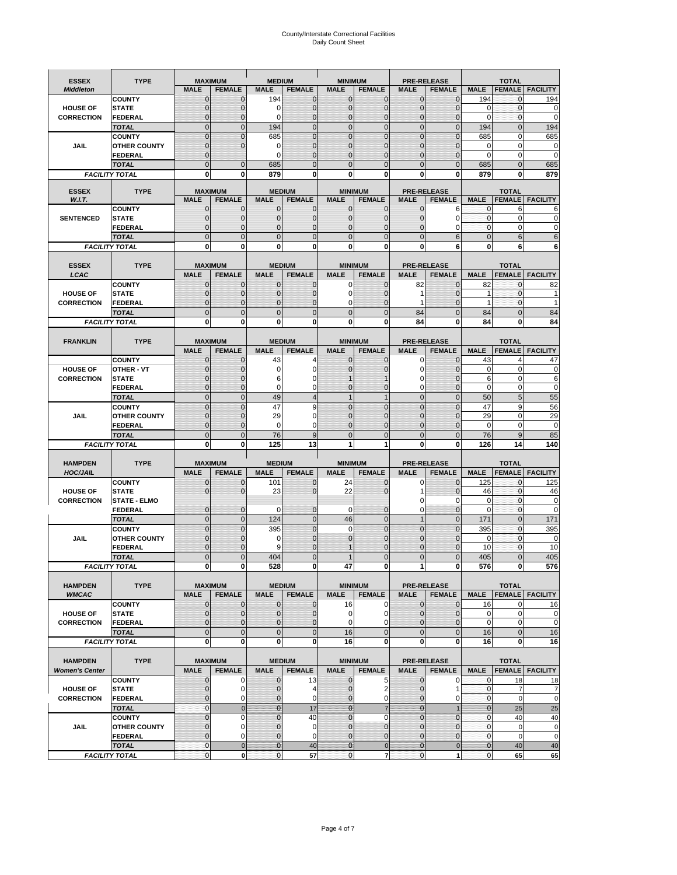# County/Interstate Correctional Facilities Daily Count Sheet

| <b>ESSEX</b>          | <b>TYPE</b>                           |                                  | <b>MAXIMUM</b>             | <b>MEDIUM</b>                  |                     | <b>MINIMUM</b>                |                               |                                | <b>PRE-RELEASE</b>               |                                  | <b>TOTAL</b>            |                          |
|-----------------------|---------------------------------------|----------------------------------|----------------------------|--------------------------------|---------------------|-------------------------------|-------------------------------|--------------------------------|----------------------------------|----------------------------------|-------------------------|--------------------------|
| <b>Middleton</b>      |                                       | <b>MALE</b>                      | <b>FEMALE</b>              | <b>MALE</b>                    | <b>FEMALE</b>       | <b>MALE</b>                   | <b>FEMALE</b>                 | <b>MALE</b>                    | <b>FEMALE</b>                    | <b>MALE</b>                      |                         | <b>FEMALE   FACILITY</b> |
|                       | <b>COUNTY</b>                         | $\mathbf{0}$                     | $\Omega$                   | 194                            | 0                   | $\mathbf{0}$                  | $\Omega$                      | $\mathbf{0}$                   | $\Omega$                         | 194                              | 0                       | 194                      |
| <b>HOUSE OF</b>       | <b>STATE</b>                          | 0                                | $\mathbf 0$                | 0                              | $\mathbf{0}$        | $\mathbf{0}$                  | $\mathbf{0}$                  | $\mathbf 0$                    | $\overline{0}$                   | $\mathbf 0$                      | $\mathbf{0}$            | 0                        |
| <b>CORRECTION</b>     | <b>FEDERAL</b>                        | $\Omega$                         | $\Omega$                   | $\Omega$                       | 0                   | $\mathbf{0}$                  | $\mathbf 0$                   | $\mathbf{0}$                   | $\Omega$                         | $\Omega$                         | $\Omega$                | $\mathbf 0$              |
|                       | <b>TOTAL</b>                          | $\Omega$                         | $\overline{0}$             | 194                            | $\overline{0}$      | $\mathbf{0}$                  | $\mathbf{0}$                  | $\overline{0}$                 | $\Omega$                         | 194                              | $\Omega$                | 194                      |
|                       | <b>COUNTY</b>                         | $\overline{0}$                   | $\overline{0}$             | 685                            | 0                   | $\mathbf{0}$                  | $\mathbf 0$                   | $\mathbf 0$                    | $\overline{0}$                   | 685                              | $\mathbf 0$             | 685                      |
| <b>JAIL</b>           | <b>OTHER COUNTY</b>                   | $\mathbf{0}$                     | $\Omega$                   | $\Omega$                       | 0                   | $\mathbf{0}$                  | $\Omega$                      | $\mathbf{0}$                   | $\sqrt{ }$                       | 0                                | $\mathbf 0$             | 0                        |
|                       | <b>FEDERAL</b><br><b>TOTAL</b>        | $\mathbf{0}$<br>$\overline{0}$   | $\overline{0}$             | 0<br>685                       | 0<br>$\overline{0}$ | $\mathbf{0}$<br>$\mathbf{0}$  | $\mathbf 0$<br>$\mathbf{0}$   | $\mathbf{0}$<br>$\overline{0}$ | $\overline{0}$<br>$\overline{0}$ | 0<br>685                         | $\mathbf 0$<br>$\Omega$ | $\mathbf 0$<br>685       |
|                       | <b>FACILITY TOTAL</b>                 | 0                                | 0                          | 879                            | 0                   | 0                             | 0                             | 0                              | $\mathbf 0$                      | 879                              | 0                       | 879                      |
|                       |                                       |                                  |                            |                                |                     |                               |                               |                                |                                  |                                  |                         |                          |
| <b>ESSEX</b>          | <b>TYPE</b>                           |                                  | <b>MAXIMUM</b>             |                                | <b>MEDIUM</b>       |                               | <b>MINIMUM</b>                |                                | <b>PRE-RELEASE</b>               |                                  | <b>TOTAL</b>            |                          |
| W.I.T.                |                                       | <b>MALE</b>                      | <b>FEMALE</b>              | <b>MALE</b>                    | <b>FEMALE</b>       | <b>MALE</b>                   | <b>FEMALE</b>                 | <b>MALE</b>                    | <b>FEMALE</b>                    | <b>MALE</b>                      |                         | <b>FEMALE</b> FACILITY   |
|                       | <b>COUNTY</b>                         | 0                                | $\mathbf 0$                | $\mathbf{0}$                   | 0                   | $\mathbf 0$                   | $\mathbf{0}$                  | 0                              | 6                                | 0                                | 6                       | 6                        |
| <b>SENTENCED</b>      | <b>STATE</b>                          | $\overline{0}$                   | $\overline{0}$             | $\mathbf 0$                    | $\overline{0}$      | $\mathbf{0}$                  | $\Omega$                      | $\mathbf 0$                    | $\Omega$                         | $\mathbf 0$                      | 0                       | 0                        |
|                       | <b>FEDERAL</b>                        | $\overline{0}$<br>$\overline{0}$ | 0                          | $\overline{0}$                 | 0                   | $\mathbf 0$                   | 0                             | 0                              | 0                                | $\mathbf 0$                      | $\mathbf 0$             | 0                        |
|                       | <b>TOTAL</b><br><b>FACILITY TOTAL</b> | 0                                | $\overline{0}$<br>0        | $\mathbf 0$<br>0               | $\overline{0}$<br>O | $\mathbf{0}$<br>$\bf{0}$      | $\overline{0}$                | $\overline{0}$<br>0            | 6<br>6                           | $\mathbf{0}$<br>$\bf{0}$         | 6<br>6                  | 6<br>6                   |
|                       |                                       |                                  |                            |                                |                     |                               |                               |                                |                                  |                                  |                         |                          |
| <b>ESSEX</b>          | <b>TYPE</b>                           |                                  | <b>MAXIMUM</b>             |                                | <b>MEDIUM</b>       |                               | <b>MINIMUM</b>                |                                | <b>PRE-RELEASE</b>               |                                  | <b>TOTAL</b>            |                          |
| LCAC                  |                                       | <b>MALE</b>                      | <b>FEMALE</b>              | <b>MALE</b>                    | <b>FEMALE</b>       | <b>MALE</b>                   | <b>FEMALE</b>                 | <b>MALE</b>                    | <b>FEMALE</b>                    | <b>MALE</b>                      | <b>FEMALE</b>           | <b>FACILITY</b>          |
|                       | <b>COUNTY</b>                         | $\mathbf{0}$                     | $\mathbf 0$                | $\mathbf{0}$                   | 0                   | $\mathbf 0$                   | $\mathbf{0}$                  | 82                             | $\Omega$                         | 82                               | 0                       | 82                       |
| <b>HOUSE OF</b>       | <b>STATE</b>                          | 0                                | 0                          | $\mathbf{0}$                   | 0                   | 0                             | $\Omega$                      | 1                              | $\Omega$                         | 1                                | $\mathbf 0$             |                          |
| <b>CORRECTION</b>     | FEDERAL                               | $\Omega$                         | $\overline{0}$             | $\mathbf{0}$                   | 0                   | $\mathbf 0$                   | $\Omega$                      | 1                              | $\Omega$                         | 1                                | $\mathbf{0}$            |                          |
|                       | <b>TOTAL</b>                          | $\mathbf 0$                      | $\overline{0}$             | $\mathbf 0$                    | $\overline{0}$      | $\mathbf{0}$                  | $\mathbf{0}$                  | 84                             | $\overline{0}$                   | 84                               | $\mathbf{0}$            | 84                       |
|                       | <b>FACILITY TOTAL</b>                 | 0                                | 0                          | 0                              | 0                   | $\mathbf 0$                   | 0                             | 84                             | $\bf{0}$                         | 84                               | 0                       | 84                       |
|                       |                                       |                                  |                            |                                |                     |                               |                               |                                |                                  |                                  |                         |                          |
| <b>FRANKLIN</b>       | <b>TYPE</b>                           |                                  | <b>MAXIMUM</b>             |                                | <b>MEDIUM</b>       |                               | <b>MINIMUM</b>                |                                | <b>PRE-RELEASE</b>               |                                  | <b>TOTAL</b>            |                          |
|                       |                                       | <b>MALE</b>                      | <b>FEMALE</b>              | <b>MALE</b>                    | <b>FEMALE</b>       | <b>MALE</b>                   | <b>FEMALE</b>                 | <b>MALE</b>                    | <b>FEMALE</b>                    | <b>MALE</b>                      | <b>FEMALE</b>           | <b>FACILITY</b>          |
|                       | <b>COUNTY</b>                         | $\mathbf{0}$                     | 0                          | 43                             | 4                   | $\mathbf{0}$                  | 0                             | 0                              | $\Omega$                         | 43                               | $\overline{4}$          | 47                       |
| <b>HOUSE OF</b>       | OTHER - VT                            | $\Omega$                         | $\mathbf 0$                | $\Omega$                       | $\Omega$            | $\Omega$                      | $\Omega$                      | 0                              | $\Omega$                         | $\Omega$                         | $\Omega$                | 0                        |
| <b>CORRECTION</b>     | <b>STATE</b>                          | 0                                | $\mathbf 0$                | 6                              | 0                   |                               |                               | 0                              | $\sqrt{ }$                       | 6                                | $\mathbf 0$             | 6                        |
|                       | <b>FEDERAL</b>                        | $\Omega$                         | $\mathbf 0$                | $\Omega$                       | 0                   | $\Omega$                      | $\mathbf{0}$                  | 0                              | $\Omega$                         | 0                                | $\mathbf 0$             | $\mathbf 0$              |
|                       | <b>TOTAL</b>                          | $\overline{0}$                   | $\overline{0}$             | 49                             | 4                   | $\overline{1}$                | $\mathbf{1}$                  | $\overline{0}$                 | $\Omega$                         | 50                               | 5                       | 55                       |
|                       | <b>COUNTY</b>                         | $\mathbf 0$                      | $\mathbf 0$                | 47                             | 9                   | $\mathbf{0}$                  | $\overline{0}$                | $\mathbf{0}$                   | $\overline{0}$                   | 47                               | 9                       | 56                       |
| <b>JAIL</b>           | <b>OTHER COUNTY</b>                   | 0<br>0                           | $\mathbf 0$<br>$\mathbf 0$ | 29<br>$\Omega$                 | 0<br>0              | $\Omega$<br>$\mathbf{0}$      | $\Omega$                      | $\mathbf 0$<br>$\mathbf 0$     | ſ<br>$\Omega$                    | 29<br>$\Omega$                   | $\Omega$<br>$\Omega$    | 29<br>0                  |
|                       | <b>FEDERAL</b><br><b>TOTAL</b>        | $\mathbf 0$                      | $\overline{0}$             | 76                             | 9                   | $\mathbf{0}$                  | $\mathbf 0$<br>$\overline{0}$ | $\mathbf 0$                    | $\overline{0}$                   | 76                               | 9                       | 85                       |
|                       | <b>FACILITY TOTAL</b>                 | 0                                | 0                          | 125                            | 13                  | 1                             | 1                             | 0                              | 0                                | 126                              | 14                      | 140                      |
|                       |                                       |                                  |                            |                                |                     |                               |                               |                                |                                  |                                  |                         |                          |
| <b>HAMPDEN</b>        | <b>TYPE</b>                           |                                  | <b>MAXIMUM</b>             | <b>MEDIUM</b>                  |                     | <b>MINIMUM</b>                |                               |                                | <b>PRE-RELEASE</b>               |                                  | <b>TOTAL</b>            |                          |
| <b>HOC/JAIL</b>       |                                       | <b>MALE</b>                      | <b>FEMALE</b>              | <b>MALE</b>                    | <b>FEMALE</b>       | <b>MALE</b>                   | <b>FEMALE</b>                 | <b>MALE</b>                    | <b>FEMALE</b>                    | <b>MALE</b>                      | <b>FEMALE</b>           | <b>FACILITY</b>          |
|                       | <b>COUNTY</b>                         | 0                                | 0                          | 101                            | $\mathbf{0}$        | 24                            | $\mathbf 0$                   | 0                              | $\Omega$                         | 125                              | $\Omega$                | 125                      |
| <b>HOUSE OF</b>       | <b>STATE</b>                          | 0                                | $\overline{0}$             | 23                             | $\overline{0}$      | 22                            | $\mathbf 0$                   |                                | $\Omega$                         | 46                               | $\mathbf{0}$            | 46                       |
| <b>CORRECTION</b>     | <b>STATE - ELMO</b>                   |                                  |                            |                                |                     |                               |                               | 0                              | $\Omega$                         | 0                                | $\mathbf{0}$            | $\mathbf 0$              |
|                       | <b>FEDERAL</b>                        | $\mathbf{0}$                     | $\mathbf 0$                | 0                              | 0                   | $\mathbf 0$                   | $\mathbf{0}$                  | $\mathbf 0$                    | $\overline{0}$                   | 0                                | $\mathbf{0}$            | 0                        |
|                       | <b>TOTAL</b>                          | $\mathbf{0}$                     | $\mathbf{0}$               | 124                            | $\overline{0}$      | 46                            | $\mathbf 0$                   | $\mathbf{1}$                   | $\mathbf{0}$                     | 171                              | $\mathbf{0}$            | 171                      |
|                       | <b>COUNTY</b>                         | $\overline{0}$                   | $\overline{0}$             | 395                            | $\overline{0}$      | 0                             | $\mathbf 0$                   | $\mathbf 0$                    | $\Omega$                         | 395                              | $\Omega$                | 395                      |
| JAIL                  | <b>OTHER COUNTY</b>                   | 0                                | $\mathbf 0$                | 0                              | 0                   | $\mathbf{0}$                  | $\Omega$                      | 0                              | $\sqrt{ }$                       | $\Omega$                         | $\Omega$                | $\mathbf 0$              |
|                       | <b>FEDERAL</b>                        | 0                                | $\mathbf 0$                | 9                              | $\Omega$            |                               | $\Omega$                      | 0                              | $\Omega$                         | 10                               | $\mathbf 0$             | 10                       |
|                       | <b>TOTAL</b>                          | $\overline{0}$                   | $\overline{0}$             | 404                            | $\Omega$            |                               | $\Omega$                      | $\overline{0}$                 | $\Omega$                         | 405                              | $\Omega$                | 405                      |
|                       | <b>FACILITY TOTAL</b>                 | $\mathbf{0}$                     | 0                          | 528                            | 0                   | 47                            | 0                             | $1\vert$                       | $\mathbf{0}$                     | 576                              | $\mathbf{0}$            | 576                      |
| <b>HAMPDEN</b>        | <b>TYPE</b>                           |                                  | <b>MAXIMUM</b>             |                                | <b>MEDIUM</b>       |                               | <b>MINIMUM</b>                |                                | <b>PRE-RELEASE</b>               |                                  | <b>TOTAL</b>            |                          |
| <b>WMCAC</b>          |                                       | <b>MALE</b>                      | <b>FEMALE</b>              | <b>MALE</b>                    | <b>FEMALE</b>       | <b>MALE</b>                   | <b>FEMALE</b>                 | <b>MALE</b>                    | <b>FEMALE</b>                    | <b>MALE</b>                      |                         | <b>FEMALE   FACILITY</b> |
|                       | <b>COUNTY</b>                         | $\mathbf{0}$                     | $\mathbf 0$                | $\mathbf{0}$                   | 0                   | 16                            | 0                             | $\mathbf{0}$                   | $\overline{0}$                   | 16                               | 0                       | 16                       |
| <b>HOUSE OF</b>       | <b>STATE</b>                          | 0                                | $\mathbf 0$                | 0                              | 0                   | 0                             | 0                             | 0                              | $\overline{0}$                   | $\pmb{0}$                        | $\mathbf 0$             | 0                        |
| <b>CORRECTION</b>     | <b>FEDERAL</b>                        | $\mathbf{0}$                     | $\mathbf 0$                | $\overline{0}$                 | $\overline{0}$      | $\mathbf 0$                   | $\Omega$                      | 0                              | $\overline{0}$                   | $\mathbf 0$                      | $\mathbf 0$             | $\pmb{0}$                |
|                       | <b>TOTAL</b>                          | $\mathbf{0}$                     | $\mathbf{0}$               | $\overline{0}$                 | $\mathbf 0$         | 16                            | $\mathbf 0$                   | $\mathbf{0}$                   | $\mathbf 0$                      | 16                               | $\mathbf{0}$            | 16                       |
|                       | <b>FACILITY TOTAL</b>                 | 0                                | $\bf{0}$                   | 0                              | 0                   | 16                            | $\mathbf 0$                   | 0                              | $\bf{0}$                         | 16                               | $\mathbf 0$             | 16                       |
|                       |                                       |                                  |                            |                                |                     |                               |                               |                                |                                  |                                  |                         |                          |
| <b>HAMPDEN</b>        | <b>TYPE</b>                           |                                  | <b>MAXIMUM</b>             |                                | <b>MEDIUM</b>       |                               | <b>MINIMUM</b>                |                                | PRE-RELEASE                      |                                  | <b>TOTAL</b>            |                          |
| <b>Women's Center</b> |                                       | <b>MALE</b>                      | <b>FEMALE</b>              | <b>MALE</b>                    | <b>FEMALE</b>       | <b>MALE</b>                   | <b>FEMALE</b>                 | <b>MALE</b>                    | <b>FEMALE</b>                    | <b>MALE</b>                      |                         | <b>FEMALE FACILITY</b>   |
|                       | <b>COUNTY</b>                         | 0                                | 0                          | 0                              | 13                  | $\mathbf 0$                   | 5                             | $\mathbf{0}$                   | 0                                | 0                                | 18                      | 18                       |
| <b>HOUSE OF</b>       | <b>STATE</b>                          | 0                                | $\mathbf 0$                | $\mathbf{0}$                   | 4                   | $\mathbf{0}$                  | 2                             | $\mathbf{0}$                   | 1                                | $\mathbf 0$                      | $\overline{7}$          | $\overline{7}$           |
| <b>CORRECTION</b>     | <b>FEDERAL</b>                        | $\mathbf{0}$<br>$\mathbf{0}$     | $\mathbf 0$                | $\mathbf{0}$<br>$\overline{0}$ | 0                   | $\mathbf 0$<br>$\overline{0}$ | 0                             | $\mathbf{0}$<br>$\mathbf{0}$   | 0<br>$\overline{1}$              | $\overline{0}$<br>$\overline{0}$ | $\mathbf 0$             | $\mathbf 0$              |
|                       | <b>TOTAL</b>                          |                                  | $\mathbf 0$                |                                | 17                  |                               | $\overline{7}$                |                                |                                  |                                  | 25                      | 25                       |
| JAIL                  | <b>COUNTY</b><br><b>OTHER COUNTY</b>  | $\pmb{0}$<br>$\overline{0}$      | $\mathbf 0$<br>0           | $\mathbf 0$<br>$\mathbf{0}$    | 40<br>$\mathbf 0$   | $\mathbf 0$<br>$\mathbf{0}$   | 0<br>$\mathbf{0}$             | $\mathbf 0$<br>$\mathbf 0$     | $\mathbf 0$<br>$\Omega$          | $\mathbf 0$<br>$\mathbf{0}$      | 40<br>$\mathbf 0$       | 40<br>0                  |
|                       | <b>FEDERAL</b>                        | 0                                | 0                          | $\mathbf{0}$                   | 0                   | $\mathbf 0$                   | $\mathbf{0}$                  | 0                              | $\mathbf{0}$                     | $\mathbf 0$                      | $\mathbf 0$             | $\mathbf 0$              |
|                       | <b>TOTAL</b>                          | $\bf 0$                          | $\mathbf 0$                | $\overline{0}$                 | 40                  | $\bf{0}$                      | $\mathbf 0$                   | $\bf{0}$                       | $\pmb{0}$                        | $\bf{0}$                         | 40                      | 40                       |
|                       | <b>FACILITY TOTAL</b>                 | $\pmb{0}$                        | $\mathbf 0$                | $\mathbf 0$                    | 57                  | $\mathbf 0$                   | $\overline{7}$                | $\mathbf 0$                    | 1                                | $\overline{0}$                   | 65                      | 65                       |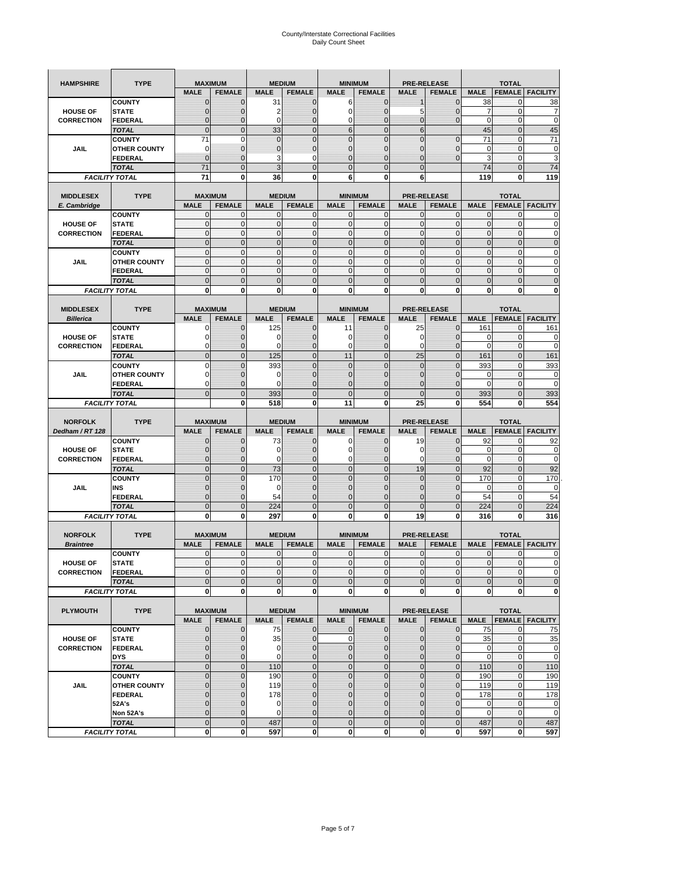| <b>HAMPSHIRE</b>                     | <b>TYPE</b>           | <b>MAXIMUM</b>                |                              |                             | <b>MEDIUM</b>                  | <b>MINIMUM</b>                |                                 |                              | <b>PRE-RELEASE</b>                  |                            | <b>TOTAL</b>                  |                            |
|--------------------------------------|-----------------------|-------------------------------|------------------------------|-----------------------------|--------------------------------|-------------------------------|---------------------------------|------------------------------|-------------------------------------|----------------------------|-------------------------------|----------------------------|
|                                      |                       | <b>MALE</b>                   | <b>FEMALE</b>                | <b>MALE</b>                 | <b>FEMALE</b>                  | <b>MALE</b>                   | <b>FEMALE</b>                   | <b>MALE</b>                  | <b>FEMALE</b>                       | <b>MALE</b>                | <b>FEMALE</b>                 | <b>FACILITY</b>            |
|                                      | <b>COUNTY</b>         | $\mathbf 0$                   | $\overline{0}$               | 31                          | $\mathbf 0$                    | 6                             | $\mathbf{0}$                    |                              | $\overline{0}$                      | 38                         | 0                             | 38                         |
| <b>HOUSE OF</b>                      | <b>STATE</b>          | $\Omega$                      | 0                            | 2                           | $\mathbf{0}$                   | 0                             | $\mathbf 0$                     | 5                            | 0                                   | 7                          | $\mathbf 0$                   | 7                          |
| <b>CORRECTION</b>                    | <b>FEDERAL</b>        | $\mathbf{0}$                  | 0                            | $\mathbf 0$                 | $\mathbf{0}$                   | 0                             | $\mathbf{0}$                    | $\mathbf{0}$                 | $\overline{0}$                      | $\mathbf 0$                | $\mathbf 0$                   | $\mathbf 0$                |
|                                      | <b>TOTAL</b>          | $\mathbf{0}$                  | $\mathbf 0$                  | 33                          | $\overline{0}$                 | 6                             | $\overline{0}$                  | $6\phantom{.}6$              |                                     | 45                         | $\mathbf 0$                   | 45                         |
|                                      | <b>COUNTY</b>         | 71                            | $\mathbf 0$                  | $\mathbf 0$                 | $\mathbf{0}$                   | $\overline{0}$                | $\overline{0}$                  | $\overline{0}$               | $\mathbf 0$                         | 71                         | $\mathbf 0$                   | 71                         |
| JAIL                                 | <b>OTHER COUNTY</b>   | 0                             | $\overline{0}$               | $\overline{0}$              | $\mathbf{0}$                   | $\overline{0}$                | $\mathbf{0}$                    | 0                            | $\overline{0}$                      | $\mathbf 0$                | $\mathbf{0}$                  | $\pmb{0}$                  |
|                                      | <b>FEDERAL</b>        | $\mathbf{0}$                  | $\overline{0}$               | 3                           | 0                              | $\overline{0}$                | $\overline{0}$                  | $\mathbf{0}$                 | $\overline{0}$                      | 3                          | $\mathbf 0$                   | 3                          |
|                                      | <b>TOTAL</b>          | 71                            | $\overline{0}$               | 3                           | $\mathbf{0}$                   | $\bf 0$                       | $\overline{0}$                  | $\mathbf{0}$                 |                                     | 74                         | $\mathbf 0$                   | 74                         |
|                                      | <b>FACILITY TOTAL</b> | 71                            | 0                            | 36                          | 0                              | 6                             | 0                               | 6                            |                                     | 119                        | 0                             | 119                        |
|                                      |                       |                               |                              |                             |                                |                               |                                 |                              |                                     |                            |                               |                            |
| <b>MIDDLESEX</b>                     | <b>TYPE</b>           | <b>MAXIMUM</b>                |                              |                             | <b>MEDIUM</b>                  | <b>MINIMUM</b>                |                                 |                              | <b>PRE-RELEASE</b>                  |                            | <b>TOTAL</b>                  |                            |
| E. Cambridge                         |                       | <b>MALE</b>                   | <b>FEMALE</b>                | <b>MALE</b>                 | <b>FEMALE</b>                  | <b>MALE</b>                   | <b>FEMALE</b>                   | <b>MALE</b>                  | <b>FEMALE</b>                       | <b>MALE</b>                | <b>FEMALE</b>                 | <b>FACILITY</b>            |
|                                      | <b>COUNTY</b>         | 0                             | $\mathbf 0$                  | $\mathbf 0$                 | 0                              | 0                             | $\mathbf{0}$                    | $\mathbf 0$                  | 0                                   | 0                          | $\mathbf{0}$                  | 0                          |
| <b>HOUSE OF</b>                      | <b>STATE</b>          | $\pmb{0}$<br>$\mathbf{0}$     | $\mathbf{0}$<br>$\mathbf{0}$ | $\mathbf 0$<br>$\mathbf 0$  | $\bf{0}$<br>$\mathbf{O}$       | 0<br>$\mathbf{0}$             | $\mathbf{0}$<br>$\mathbf{0}$    | $\mathbf 0$                  | 0<br>$\mathbf 0$                    | $\mathbf 0$<br>$\mathbf 0$ | $\mathbf 0$                   | $\mathbf 0$                |
| <b>CORRECTION</b>                    | <b>FEDERAL</b>        |                               |                              |                             |                                |                               |                                 | $\mathbf{0}$                 |                                     |                            | $\mathbf 0$                   | $\pmb{0}$                  |
|                                      | <b>TOTAL</b>          | $\mathbf{0}$                  | $\overline{0}$               | $\overline{0}$              | $\mathbf{0}$                   | $\overline{0}$                | $\mathbf{0}$                    | $\mathbf{0}$                 | $\overline{0}$                      | $\overline{0}$             | $\overline{0}$                | $\pmb{0}$                  |
|                                      | <b>COUNTY</b>         | $\mathbf{0}$                  | $\mathbf{0}$                 | $\mathbf 0$                 | $\mathbf{O}$                   | $\mathbf{0}$                  | $\mathbf{0}$                    | $\mathbf{O}$                 | $\overline{0}$                      | $\mathbf 0$                | $\mathbf{0}$                  | $\pmb{0}$                  |
| JAIL                                 | <b>OTHER COUNTY</b>   | $\Omega$<br>$\mathbf{0}$      | $\mathbf 0$<br>$\mathbf 0$   | $\mathbf{0}$<br>$\mathbf 0$ | $\Omega$<br>$\mathbf{O}$       | $\mathbf{0}$<br>0             | $\mathbf{0}$<br>$\mathbf{0}$    | $\mathbf{0}$<br>$\mathbf{O}$ | $\overline{0}$                      | $\mathbf 0$<br>$\mathbf 0$ | $\mathbf 0$                   | $\mathbf 0$<br>$\mathbf 0$ |
|                                      | <b>FEDERAL</b>        |                               |                              |                             |                                |                               |                                 |                              | 0                                   |                            | $\mathbf 0$                   |                            |
|                                      | <b>TOTAL</b>          | $\mathbf{0}$                  | $\overline{0}$               | $\overline{0}$              | $\mathbf{0}$                   | $\mathbf 0$                   | $\mathbf 0$                     | $\mathbf{0}$                 | $\overline{0}$                      | $\mathbf 0$                | $\overline{0}$                | $\mathbf 0$                |
|                                      | <b>FACILITY TOTAL</b> | 0                             | $\bf{0}$                     | 0                           | 0                              | 0                             | 0                               | 0                            | 0                                   | 0                          | 0                             | $\bf{0}$                   |
|                                      |                       |                               |                              |                             |                                |                               |                                 |                              |                                     |                            |                               |                            |
| <b>MIDDLESEX</b>                     | <b>TYPE</b>           | <b>MAXIMUM</b><br><b>MALE</b> | <b>FEMALE</b>                | <b>MALE</b>                 | <b>MEDIUM</b><br><b>FEMALE</b> | <b>MINIMUM</b><br><b>MALE</b> | <b>FEMALE</b>                   | <b>MALE</b>                  | <b>PRE-RELEASE</b>                  |                            | <b>TOTAL</b>                  |                            |
| <b>Billerica</b>                     |                       |                               |                              |                             |                                |                               |                                 |                              | <b>FEMALE</b>                       | <b>MALE</b>                | <b>FEMALE</b>                 | <b>FACILITY</b>            |
|                                      | <b>COUNTY</b>         | 0                             | $\overline{0}$               | 125                         | $\mathbf 0$                    | 11                            | $\mathbf 0$                     | 25                           | $\overline{0}$                      | 161                        | $\mathbf{0}$                  | 161                        |
| <b>HOUSE OF</b>                      | <b>STATE</b>          |                               | $\overline{0}$               | 0                           | $\mathbf 0$                    | 0                             | $\overline{0}$                  | 0                            | $\overline{0}$                      | 0<br>$\mathbf 0$           | $\mathbf{0}$                  | 0<br>$\mathbf 0$           |
| <b>CORRECTION</b>                    | FEDERAL               | $\Omega$                      | 0                            | 0                           | $\mathbf{0}$                   | 0                             | $\mathbf{0}$                    | $\mathbf 0$                  | 0                                   |                            | $\mathbf 0$                   |                            |
|                                      | <b>TOTAL</b>          | $\mathbf{0}$                  | $\overline{0}$               | 125                         | $\mathbf{0}$                   | 11                            | $\mathbf{0}$                    | 25                           | $\overline{0}$                      | 161                        | $\overline{0}$                | 161                        |
|                                      | <b>COUNTY</b>         | $\Omega$                      | $\overline{0}$               | 393                         | $\mathbf 0$                    | $\overline{0}$                | $\Omega$                        | $\mathbf{0}$                 | $\overline{0}$                      | 393                        | $\mathbf{0}$                  | 393                        |
| JAIL                                 | <b>OTHER COUNTY</b>   | $\Omega$                      | 0                            | 0                           | $\overline{0}$                 | 0                             | $\mathbf{0}$                    | $\overline{0}$               | 0                                   | 0                          | $\mathbf{0}$                  | 0                          |
|                                      | <b>FEDERAL</b>        | 0                             | $\overline{0}$               | $\mathbf 0$                 | 0                              | $\overline{0}$                | $\overline{0}$                  | 0                            | $\overline{0}$                      | $\mathbf 0$                | $\mathbf{0}$                  | $\mathbf 0$                |
|                                      | <b>TOTAL</b>          | $\Omega$                      | $\mathbf 0$                  | 393                         | $\mathbf{0}$                   | $\mathbf 0$<br>11             | $\mathbf 0$                     | $\mathbf{0}$                 | $\overline{0}$<br>0                 | 393<br>554                 | $\mathbf 0$                   | 393                        |
|                                      | <b>FACILITY TOTAL</b> |                               | $\mathbf 0$                  | 518                         | $\bf{0}$                       |                               | 0                               | 25                           |                                     |                            | $\bf{0}$                      | 554                        |
|                                      |                       |                               |                              |                             |                                |                               |                                 |                              |                                     |                            |                               |                            |
|                                      |                       |                               |                              |                             |                                |                               |                                 |                              |                                     |                            |                               |                            |
| <b>NORFOLK</b>                       | <b>TYPE</b>           | <b>MAXIMUM</b>                |                              |                             | <b>MEDIUM</b>                  |                               | <b>MINIMUM</b>                  |                              | <b>PRE-RELEASE</b>                  |                            | <b>TOTAL</b>                  |                            |
| Dedham / RT 128                      |                       | <b>MALE</b>                   | <b>FEMALE</b>                | <b>MALE</b>                 | <b>FEMALE</b>                  | <b>MALE</b>                   | <b>FEMALE</b>                   | <b>MALE</b>                  | <b>FEMALE</b>                       | <b>MALE</b>                | <b>FEMALE</b>                 | <b>FACILITY</b>            |
|                                      | <b>COUNTY</b>         | $\Omega$                      | $\overline{0}$               | 73                          | 0                              | 0                             | $\mathbf 0$                     | 19                           | $\overline{0}$                      | 92                         | 0                             | 92                         |
| <b>HOUSE OF</b>                      | <b>STATE</b>          | $\Omega$                      | $\overline{0}$               | $\mathbf 0$                 | $\mathbf{0}$                   | 0                             | $\overline{0}$                  | 0                            | $\overline{0}$                      | 0                          | 0                             | $\mathbf 0$                |
| <b>CORRECTION</b>                    | <b>FEDERAL</b>        | $\Omega$                      | 0                            | 0                           | $\mathbf{0}$                   | 0                             | $\mathbf 0$                     | 0                            | 0                                   | $\mathbf 0$                | $\mathbf 0$                   | $\mathbf 0$                |
|                                      | <b>TOTAL</b>          | $\Omega$                      | $\overline{0}$               | 73                          | $\mathbf{0}$                   | $\mathbf 0$                   | $\mathbf 0$                     | 19                           | $\overline{0}$                      | 92                         | $\mathbf 0$                   | 92                         |
|                                      | <b>COUNTY</b>         | $\overline{0}$                | $\overline{0}$               | 170                         | $\mathbf{0}$                   | $\overline{0}$                | $\overline{0}$                  | $\mathbf{0}$                 | $\overline{0}$                      | 170                        | $\mathbf 0$                   | 170                        |
| JAIL                                 | INS                   | $\mathbf{0}$<br>$\Omega$      | 0                            | 0                           | $\overline{0}$                 | 0                             | $\mathbf{0}$                    | 0                            | 0                                   | 0                          | 0                             | 0                          |
|                                      | <b>FEDERAL</b>        |                               | $\overline{0}$               | 54                          | $\mathbf 0$                    | $\overline{0}$                | $\overline{0}$                  | 0                            | $\overline{0}$                      | 54                         | $\mathbf{0}$                  | 54                         |
|                                      | <b>TOTAL</b>          | $\mathbf 0$                   | $\overline{0}$               | 224                         | $\mathbf 0$                    | $\overline{0}$                | $\overline{0}$                  | $\Omega$                     | $\overline{0}$                      | 224                        | $\overline{0}$                | 224                        |
|                                      | <b>FACILITY TOTAL</b> | $\mathbf 0$                   | $\mathbf 0$                  | 297                         | 0                              | 0                             | 0                               | 19                           | 0                                   | 316                        | 0                             | 316                        |
|                                      |                       |                               |                              |                             |                                |                               |                                 |                              |                                     |                            |                               |                            |
| <b>NORFOLK</b><br><b>Braintree</b>   | <b>TYPE</b>           | <b>MAXIMUM</b><br><b>MALE</b> | <b>FEMALE</b>                | <b>MALE</b>                 | <b>MEDIUM</b><br><b>FEMALE</b> | <b>MALE</b>                   | <b>MINIMUM</b><br><b>FEMALE</b> | <b>MALE</b>                  | <b>PRE-RELEASE</b><br><b>FEMALE</b> | <b>MALE</b>                | <b>TOTAL</b><br><b>FEMALE</b> | <b>FACILITY</b>            |
|                                      | <b>COUNTY</b>         | $\mathbf 0$                   | $\mathbf 0$                  | 0                           | $\mathbf 0$                    | 0                             | $\mathbf{0}$                    | $\mathbf 0$                  | $\mathbf 0$                         | 0                          | 0                             | 0                          |
|                                      | <b>STATE</b>          | $\mathbf{0}$                  | $\overline{0}$               | $\mathbf 0$                 | $\overline{0}$                 | $\overline{0}$                | $\mathbf{0}$                    | $\overline{0}$               | $\mathbf 0$                         | $\mathbf{0}$               | 0                             | $\Omega$                   |
| <b>HOUSE OF</b><br><b>CORRECTION</b> | FEDERAL               | $\mathbf 0$                   | 0                            | 0                           | $\mathbf 0$                    | $\mathbf 0$                   | 0                               | $\mathbf 0$                  | $\mathbf 0$                         | $\pmb{0}$                  | 0                             | $\mathbf 0$                |
|                                      | <b>TOTAL</b>          | $\mathbf{0}$                  | $\mathbf 0$                  | $\mathbf 0$                 | $\mathbf{0}$                   | $\mathbf 0$                   | $\pmb{0}$                       | $\mathbf{0}$                 | $\mathbf 0$                         | $\mathbf 0$                | $\mathbf 0$                   | $\mathbf 0$                |
|                                      | <b>FACILITY TOTAL</b> | $\mathbf{0}$                  | $\mathbf{0}$                 | 0                           | $\mathbf{0}$                   | $\mathbf{0}$                  | $\bf{0}$                        | $\mathbf 0$                  | $\mathbf{0}$                        | $\mathbf 0$                | 0                             | $\mathbf 0$                |
|                                      |                       |                               |                              |                             |                                |                               |                                 |                              |                                     |                            |                               |                            |
| <b>PLYMOUTH</b>                      | <b>TYPE</b>           |                               | <b>MAXIMUM</b>               |                             | <b>MEDIUM</b>                  |                               | <b>MINIMUM</b>                  |                              | <b>PRE-RELEASE</b>                  |                            | <b>TOTAL</b>                  |                            |
|                                      |                       | <b>MALE</b>                   | <b>FEMALE</b>                | <b>MALE</b>                 | <b>FEMALE</b>                  | <b>MALE</b>                   | <b>FEMALE</b>                   | <b>MALE</b>                  | <b>FEMALE</b>                       | <b>MALE</b>                |                               | <b>FEMALE FACILITY</b>     |
|                                      | <b>COUNTY</b>         | $\mathbf{0}$                  | $\mathbf{0}$                 | 75                          | $\mathbf{0}$                   | 0                             | $\mathbf{0}$                    | $\mathbf{0}$                 | $\overline{0}$                      | 75                         | $\mathbf 0$                   | 75                         |
| <b>HOUSE OF</b>                      | <b>STATE</b>          | $\mathbf{0}$                  | 0                            | 35                          | $\mathbf{0}$                   | 0                             | $\pmb{0}$                       | $\mathbf 0$                  | $\overline{0}$                      | 35                         | $\mathbf{0}$                  | 35                         |
| <b>CORRECTION</b>                    | <b>FEDERAL</b>        | $\Omega$                      | 0                            | $\mathbf 0$                 | $\mathbf{0}$                   | 0                             | $\mathbf{0}$                    | $\mathbf{0}$                 | 0                                   | 0                          | $\mathbf{0}$                  | $\mathbf 0$                |
|                                      | <b>DYS</b>            | $\mathbf{0}$                  | 0                            | $\mathbf 0$                 | $\mathbf 0$                    | 0                             | $\pmb{0}$                       | $\mathbf 0$                  | $\overline{0}$                      | $\mathbf 0$                | $\mathbf{0}$                  | $\mathbf 0$                |
|                                      | <b>TOTAL</b>          | $\mathbf 0$                   | $\mathbf 0$                  | 110                         | $\mathbf 0$                    | $\mathbf 0$                   | $\mathbf 0$                     | $\mathbf 0$                  | $\mathbf 0$                         | 110                        | $\mathbf 0$                   | 110                        |
|                                      | <b>COUNTY</b>         | $\overline{0}$                | $\overline{0}$               | 190                         | $\pmb{0}$                      | $\mathbf 0$                   | $\mathbf 0$                     | $\pmb{0}$                    | $\mathbf 0$                         | 190                        | $\mathbf{0}$                  | 190                        |
| JAIL                                 | <b>OTHER COUNTY</b>   | $\mathbf{0}$                  | 0                            | 119                         | $\overline{0}$                 | 0                             | $\mathbf{0}$                    | 0                            | $\overline{0}$                      | 119                        | $\mathbf{0}$                  | 119                        |
|                                      | <b>FEDERAL</b>        | $\Omega$                      | 0                            | 178                         | $\mathbf 0$                    | 0                             | $\mathbf{0}$                    | 0                            | 0                                   | 178                        | $\mathbf 0$                   | 178                        |
|                                      | 52A's                 | $\Omega$                      | $\overline{0}$               | 0                           | $\overline{0}$                 | $\overline{0}$                | $\mathbf 0$                     | $\overline{0}$               | $\overline{0}$                      | 0                          | $\mathbf{0}$                  | $\mathbf 0$                |
|                                      | Non 52A's             | $\mathbf{0}$                  | 0                            | 0                           | $\mathbf{0}$                   | 0                             | $\mathbf 0$                     | $\mathbf 0$                  | 0                                   | 0                          | $\mathbf 0$                   | $\mathbf 0$                |
|                                      | <b>TOTAL</b>          | $\overline{0}$                | $\overline{0}$               | 487                         | $\overline{0}$                 | $\overline{0}$                | $\mathbf 0$                     | $\mathbf{0}$                 | $\mathbf 0$                         | 487                        | $\mathbf 0$                   | 487                        |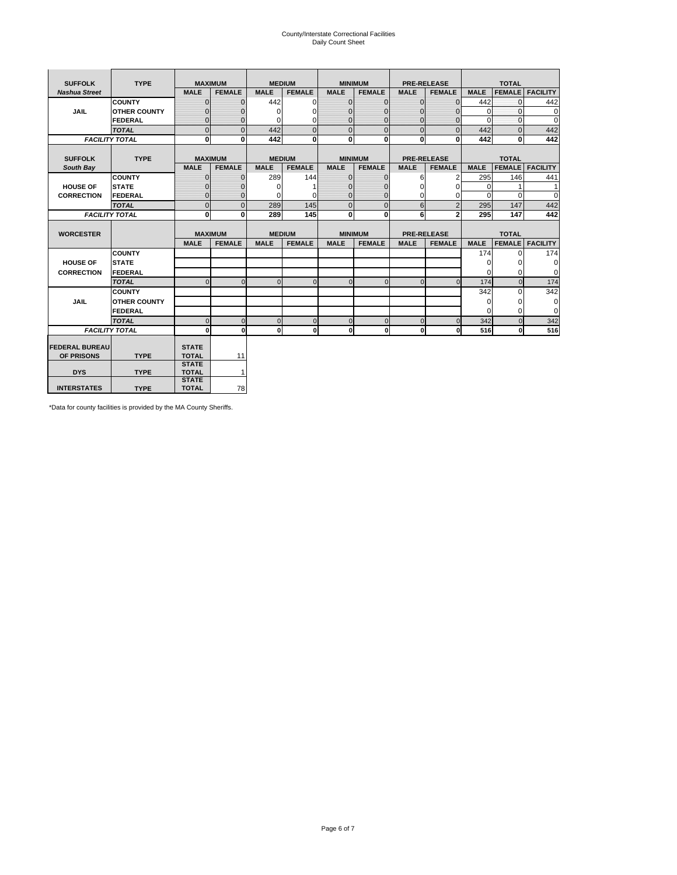# County/Interstate Correctional Facilities Daily Count Sheet

| <b>SUFFOLK</b>        | <b>TYPE</b>           |                              | <b>MAXIMUM</b> |             | <b>MEDIUM</b> |                | <b>MINIMUM</b> |              | <b>PRE-RELEASE</b> |             | <b>TOTAL</b>  |                 |
|-----------------------|-----------------------|------------------------------|----------------|-------------|---------------|----------------|----------------|--------------|--------------------|-------------|---------------|-----------------|
| <b>Nashua Street</b>  |                       | <b>MALE</b>                  | <b>FEMALE</b>  | <b>MALE</b> | <b>FEMALE</b> | <b>MALE</b>    | <b>FEMALE</b>  | <b>MALE</b>  | <b>FEMALE</b>      | <b>MALE</b> | <b>FEMALE</b> | <b>FACILITY</b> |
|                       | <b>COUNTY</b>         | $\Omega$                     | $\mathbf{0}$   | 442         | $\Omega$      | $\mathbf{0}$   | $\Omega$       | $\mathbf{0}$ | $\Omega$           | 442         | $\Omega$      | 442             |
| JAIL                  | <b>OTHER COUNTY</b>   | $\Omega$                     | $\Omega$       | $\Omega$    | 0             | $\Omega$       | $\Omega$       | $\Omega$     | $\Omega$           | $\Omega$    | $\Omega$      | 0               |
|                       | <b>FEDERAL</b>        | $\mathbf{0}$                 | $\mathbf{0}$   | 0           | 0             | $\mathbf{0}$   | $\mathbf{0}$   | $\mathbf 0$  | $\mathbf{0}$       | $\Omega$    | 0             | 0               |
|                       | <b>TOTAL</b>          | $\Omega$                     | $\Omega$       | 442         | $\Omega$      | $\overline{0}$ | $\Omega$       | $\Omega$     | $\Omega$           | 442         | $\Omega$      | 442             |
|                       | <b>FACILITY TOTAL</b> | 0                            | $\mathbf{0}$   | 442         | 0             | $\mathbf{0}$   | $\bf{0}$       | $\mathbf{0}$ | 0                  | 442         | 0             | 442             |
|                       |                       |                              |                |             |               |                |                |              |                    |             |               |                 |
| <b>SUFFOLK</b>        | <b>TYPE</b>           |                              | <b>MAXIMUM</b> |             | <b>MEDIUM</b> |                | <b>MINIMUM</b> |              | <b>PRE-RELEASE</b> |             | <b>TOTAL</b>  |                 |
| South Bay             |                       | <b>MALE</b>                  | <b>FEMALE</b>  | <b>MALE</b> | <b>FEMALE</b> | <b>MALE</b>    | <b>FEMALE</b>  | <b>MALE</b>  | <b>FEMALE</b>      | <b>MALE</b> | <b>FEMALE</b> | <b>FACILITY</b> |
|                       | <b>COUNTY</b>         | $\Omega$                     | $\mathbf{0}$   | 289         | 144           | $\mathbf{0}$   | $\mathbf{0}$   | 6            | 2                  | 295         | 146           | 441             |
| <b>HOUSE OF</b>       | <b>STATE</b>          |                              | $\overline{0}$ | $\Omega$    |               | $\Omega$       | O              | $\Omega$     | $\Omega$           | $\Omega$    |               | 1               |
| <b>CORRECTION</b>     | <b>FEDERAL</b>        | $\Omega$                     | $\overline{0}$ | 0           | $\Omega$      | $\mathbf{0}$   | $\Omega$       | $\Omega$     | 0                  | $\Omega$    | $\Omega$      | $\Omega$        |
|                       | <b>TOTAL</b>          | $\Omega$                     | $\overline{0}$ | 289         | 145           | $\mathbf 0$    | $\mathbf{0}$   | 6            | $\overline{2}$     | 295         | 147           | 442             |
|                       | <b>FACILITY TOTAL</b> | 0                            | 0              | 289         | 145           | $\mathbf{0}$   | 0              | 6            | $\mathbf{2}$       | 295         | 147           | 442             |
|                       |                       |                              |                |             |               |                |                |              |                    |             |               |                 |
| <b>WORCESTER</b>      |                       |                              | <b>MAXIMUM</b> |             | <b>MEDIUM</b> |                | <b>MINIMUM</b> |              | <b>PRE-RELEASE</b> |             | <b>TOTAL</b>  |                 |
|                       |                       | <b>MALE</b>                  | <b>FEMALE</b>  | <b>MALE</b> | <b>FEMALE</b> | <b>MALE</b>    | <b>FEMALE</b>  | <b>MALE</b>  | <b>FEMALE</b>      | <b>MALE</b> | <b>FEMALE</b> | <b>FACILITY</b> |
|                       | <b>COUNTY</b>         |                              |                |             |               |                |                |              |                    | 174         | $\Omega$      | 174             |
| <b>HOUSE OF</b>       | <b>STATE</b>          |                              |                |             |               |                |                |              |                    | 0           | 0             | 0               |
| <b>CORRECTION</b>     | FEDERAL               |                              |                |             |               |                |                |              |                    | $\Omega$    | $\Omega$      | 0               |
|                       | <b>TOTAL</b>          | $\Omega$                     | $\mathbf{0}$   | $\Omega$    | $\mathbf 0$   | $\mathbf{0}$   | $\mathbf{0}$   | $\mathbf{0}$ | $\Omega$           | 174         | $\mathbf{0}$  | 174             |
|                       | <b>COUNTY</b>         |                              |                |             |               |                |                |              |                    | 342         | $\Omega$      | 342             |
| <b>JAIL</b>           | <b>OTHER COUNTY</b>   |                              |                |             |               |                |                |              |                    | $\Omega$    | $\Omega$      | 0               |
|                       | FEDERAL               |                              |                |             |               |                |                |              |                    | $\Omega$    | $\Omega$      | $\mathbf 0$     |
|                       | <b>TOTAL</b>          | $\cap$                       | $\Omega$       | $\Omega$    | $\mathbf{0}$  | $\mathbf{0}$   | $\Omega$       | $\Omega$     | $\Omega$           | 342         | $\Omega$      | 342             |
|                       | <b>FACILITY TOTAL</b> | $\Omega$                     | 0              | $\Omega$    | 0             | $\mathbf{0}$   | $\bf{0}$       | $\mathbf 0$  | 0                  | 516         | O             | 516             |
|                       |                       |                              |                |             |               |                |                |              |                    |             |               |                 |
| <b>FEDERAL BUREAU</b> |                       | <b>STATE</b>                 |                |             |               |                |                |              |                    |             |               |                 |
| OF PRISONS            | <b>TYPE</b>           | <b>TOTAL</b><br><b>STATE</b> | 11             |             |               |                |                |              |                    |             |               |                 |
| <b>DYS</b>            | <b>TYPE</b>           | <b>TOTAL</b>                 | $\mathbf{1}$   |             |               |                |                |              |                    |             |               |                 |
|                       |                       | <b>STATE</b>                 |                |             |               |                |                |              |                    |             |               |                 |
| <b>INTERSTATES</b>    | <b>TYPE</b>           | <b>TOTAL</b>                 | 78             |             |               |                |                |              |                    |             |               |                 |

\*Data for county facilities is provided by the MA County Sheriffs.